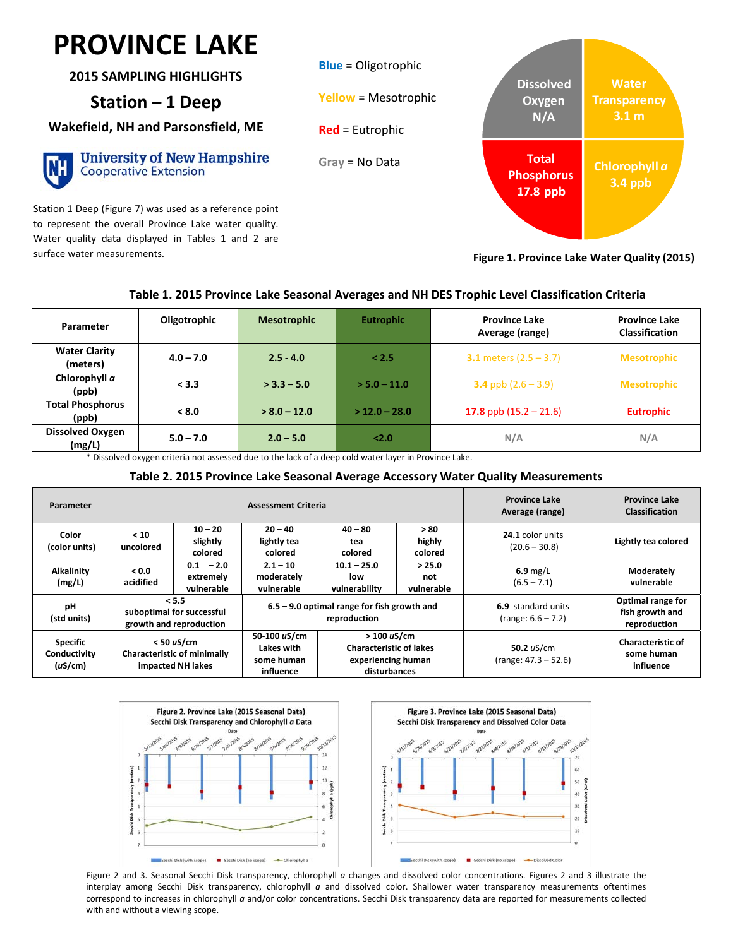## $\overline{\mathbf{a}}$ **PROVINCE LAKE**

**2015 SAMPLING HIGHLIGHTS**

## **Station – 1 Deep**

**Wakefield, NH and Parsonsfield, ME**

| ł,<br>۱ |        |  |
|---------|--------|--|
|         |        |  |
|         |        |  |
|         | ī<br>c |  |

**University of New Hampshire Cooperative Extension** 

Station 1 Deep (Figure 7) was used as a reference point to represent the overall Province Lake water quality. Water quality data displayed in Tables 1 and 2 are surface water measurements.



**Figure 1. Province Lake Water Quality (2015)**

### **Table 1. 2015 Province Lake Seasonal Averages and NH DES Trophic Level Classification Criteria**

| Parameter                         | Oligotrophic | <b>Mesotrophic</b> | <b>Eutrophic</b> | <b>Province Lake</b><br>Average (range) | <b>Province Lake</b><br><b>Classification</b> |
|-----------------------------------|--------------|--------------------|------------------|-----------------------------------------|-----------------------------------------------|
| <b>Water Clarity</b><br>(meters)  | $4.0 - 7.0$  | $2.5 - 4.0$        | < 2.5            | <b>3.1</b> meters $(2.5 - 3.7)$         | <b>Mesotrophic</b>                            |
| Chlorophyll a<br>(ppb)            | < 3.3        | $>$ 3.3 – 5.0      | $>$ 5.0 – 11.0   | <b>3.4</b> ppb $(2.6 - 3.9)$            | <b>Mesotrophic</b>                            |
| <b>Total Phosphorus</b><br>(ppb)  | < 8.0        | $> 8.0 - 12.0$     | $>$ 12.0 – 28.0  | 17.8 ppb $(15.2 - 21.6)$                | <b>Eutrophic</b>                              |
| <b>Dissolved Oxygen</b><br>(mg/L) | $5.0 - 7.0$  | $2.0 - 5.0$        | 2.0              | N/A                                     | N/A                                           |

\* Dissolved oxygen criteria not assessed due to the lack of a deep cold water layer in Province Lake.

#### **Table 2. 2015 Province Lake Seasonal Average Accessory Water Quality Measurements**

| Parameter                                  | <b>Assessment Criteria</b>                                    |                                                                         |                                                               |                                                                                    | <b>Province Lake</b><br>Average (range)    | <b>Province Lake</b><br><b>Classification</b>        |                                                     |
|--------------------------------------------|---------------------------------------------------------------|-------------------------------------------------------------------------|---------------------------------------------------------------|------------------------------------------------------------------------------------|--------------------------------------------|------------------------------------------------------|-----------------------------------------------------|
| Color<br>(color units)                     | < 10<br>uncolored                                             | $10 - 20$<br>slightly<br>colored                                        | $20 - 40$<br>lightly tea<br>colored                           | $40 - 80$<br>tea<br>colored                                                        | > 80<br>highly<br>colored                  | 24.1 color units<br>$(20.6 - 30.8)$                  | Lightly tea colored                                 |
| <b>Alkalinity</b><br>(mg/L)                | 0.0 <sub>2</sub><br>acidified                                 | $0.1 - 2.0$<br>extremely<br>vulnerable                                  | $2.1 - 10$<br>moderately<br>vulnerable                        | $10.1 - 25.0$<br>low<br>vulnerability                                              | > 25.0<br>not<br>vulnerable                | $6.9$ mg/L<br>$(6.5 - 7.1)$                          | Moderately<br>vulnerable                            |
| pH<br>(std units)                          | < 5.5<br>suboptimal for successful<br>growth and reproduction |                                                                         | $6.5 - 9.0$ optimal range for fish growth and<br>reproduction |                                                                                    | 6.9 standard units<br>$(range: 6.6 - 7.2)$ | Optimal range for<br>fish growth and<br>reproduction |                                                     |
| <b>Specific</b><br>Conductivity<br>(uS/cm) |                                                               | $<$ 50 uS/cm<br><b>Characteristic of minimally</b><br>impacted NH lakes | 50-100 uS/cm<br>Lakes with<br>some human<br>influence         | >100 uS/cm<br><b>Characteristic of lakes</b><br>experiencing human<br>disturbances |                                            | 50.2 $uS/cm$<br>$(range: 47.3 - 52.6)$               | <b>Characteristic of</b><br>some human<br>influence |



Figure 2 and 3. Seasonal Secchi Disk transparency, chlorophyll *a* changes and dissolved color concentrations. Figures 2 and 3 illustrate the interplay among Secchi Disk transparency, chlorophyll *a* and dissolved color. Shallower water transparency measurements oftentimes correspond to increases in chlorophyll *a* and/or color concentrations. Secchi Disk transparency data are reported for measurements collected with and without a viewing scope.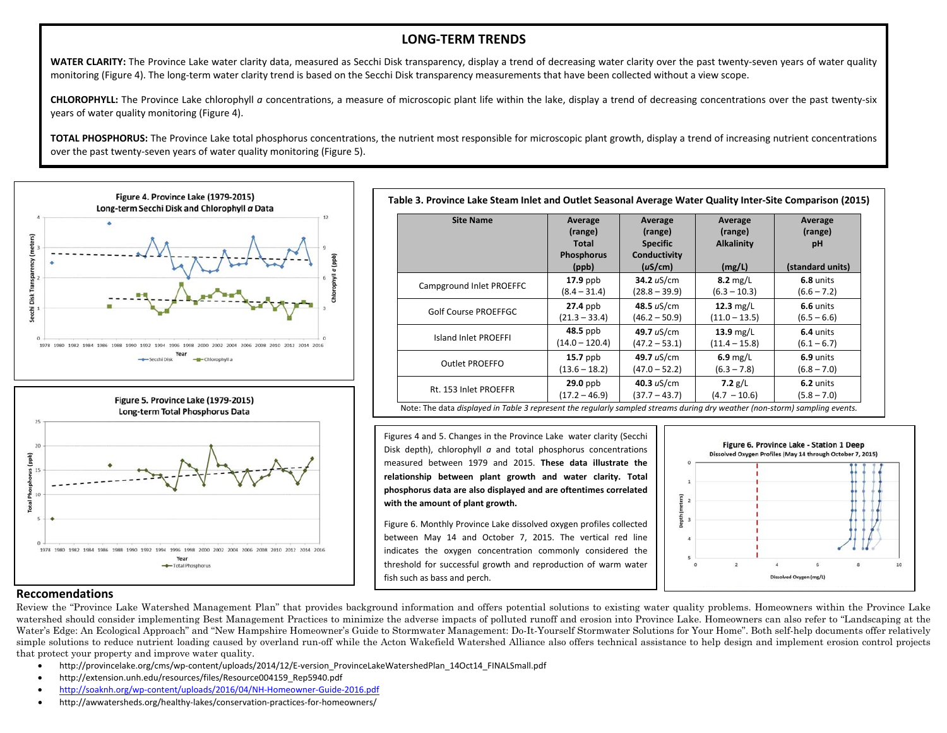#### **LONG‐TERM TRENDS**

**WATER CLARITY:** The Province Lake water clarity data, measured as Secchi Disk transparency, display <sup>a</sup> trend of decreasing water clarity over the past twenty‐seven years of water quality monitoring (Figure 4). The long-term water clarity trend is based on the Secchi Disk transparency measurements that have been collected without a view scope.

**CHLOROPHYLL:** The Province Lake chlorophyll *<sup>a</sup>* concentrations, <sup>a</sup> measure of microscopic plant life within the lake, display <sup>a</sup> trend of decreasing concentrations over the past twenty‐six years of water quality monitoring (Figure 4).

**TOTAL PHOSPHORUS:** The Province Lake total phosphorus concentrations, the nutrient most responsible for microscopic plant growth, display <sup>a</sup> trend of increasing nutrient concentrations over the past twenty‐seven years of water quality monitoring (Figure 5).



| 20 |  |  |  |
|----|--|--|--|
| 15 |  |  |  |
| 10 |  |  |  |
|    |  |  |  |
| 5  |  |  |  |

| <b>Site Name</b>            | Average<br>(range)<br><b>Total</b><br><b>Phosphorus</b><br>(ppb) | Average<br>(range)<br><b>Specific</b><br>Conductivity<br>(uS/cm) | Average<br>(range)<br><b>Alkalinity</b><br>(mg/L) | Average<br>(range)<br>pH<br>(standard units) |
|-----------------------------|------------------------------------------------------------------|------------------------------------------------------------------|---------------------------------------------------|----------------------------------------------|
| Campground Inlet PROEFFC    | $17.9$ ppb                                                       | 34.2 $uS/cm$                                                     | $8.2 \text{ mg/L}$                                | 6.8 units                                    |
|                             | $(8.4 - 31.4)$                                                   | $(28.8 - 39.9)$                                                  | $(6.3 - 10.3)$                                    | $(6.6 - 7.2)$                                |
| <b>Golf Course PROEFFGC</b> | $27.4$ ppb                                                       | 48.5 uS/cm                                                       | $12.3$ mg/L                                       | 6.6 units                                    |
|                             | $(21.3 - 33.4)$                                                  | $(46.2 - 50.9)$                                                  | $(11.0 - 13.5)$                                   | $(6.5 - 6.6)$                                |
| Island Inlet PROEFFI        | $48.5$ ppb                                                       | 49.7 uS/cm                                                       | $13.9$ mg/L                                       | 6.4 units                                    |
|                             | $(14.0 - 120.4)$                                                 | $(47.2 - 53.1)$                                                  | $(11.4 - 15.8)$                                   | $(6.1 - 6.7)$                                |
| <b>Outlet PROEFFO</b>       | $15.7$ ppb                                                       | 49.7 uS/cm                                                       | $6.9$ mg/L                                        | 6.9 units                                    |
|                             | $(13.6 - 18.2)$                                                  | $(47.0 - 52.2)$                                                  | $(6.3 - 7.8)$                                     | $(6.8 - 7.0)$                                |
| Rt. 153 Inlet PROEFFR       | $29.0$ ppb                                                       | 40.3 $uS/cm$                                                     | 7.2 $g/L$                                         | 6.2 units                                    |
|                             | $(17.2 - 46.9)$                                                  | $(37.7 - 43.7)$                                                  | $(4.7 - 10.6)$                                    | $(5.8 - 7.0)$                                |

Figures 4 and 5. Changes in the Province Lake water clarity (Secchi Disk depth), chlorophyll *<sup>a</sup>* and total phosphorus concentrations measured between 1979 and 2015. **These data illustrate the relationship between plant growth and water clarity. Total phosphorus data are also displayed and are oftentimes correlated with the amount of plant growth.**

Figure 6. Monthly Province Lake dissolved oxygen profiles collected between May 14 and October 7, 2015. The vertical red line indicates the oxygen concentration commonly considered the threshold for successful growth and reproduction of warm water fish such as bass and perch.



#### **Reccomendations**

Review the "Province Lake Watershed Management Plan" that provides background information and offers potential solutions to existing water quality problems. Homeowners within the Province Lake watershed should consider implementing Best Management Practices to minimize the adverse impacts of polluted runoff and erosion into Province Lake. Homeowners can also refer to "Landscaping at the Water's Edge: An Ecological Approach" and "New Hampshire Homeowner's Guide to Stormwater Management: Do-It-Yourself Stormwater Solutions for Your Home". Both self-help documents offer relatively simple solutions to reduce nutrient loading caused by overland run-off while the Acton Wakefield Watershed Alliance also offers technical assistance to help design and implement erosion control projects that protect your property and improve water quality.

- $\bullet$ http://provincelake.org/cms/wp-content/uploads/2014/12/E-version\_ProvinceLakeWatershedPlan\_14Oct14\_FINALSmall.pdf
- $\bullet$ http://extension.unh.edu/resources/files/Resource004159\_Rep5940.pdf
- $\bullet$ http://soaknh.org/wp‐content/uploads/2016/04/NH‐Homeowner‐Guide‐2016.pdf
- $\bullet$ http://awwatersheds.org/healthy-lakes/conservation-practices-for-homeowners/